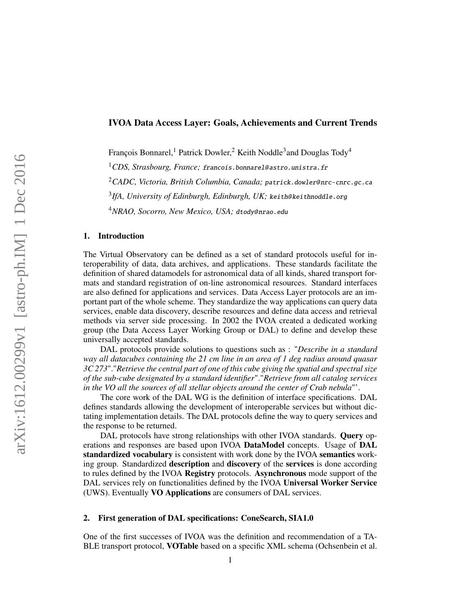## IVOA Data Access Layer: Goals, Achievements and Current Trends

François Bonnarel,<sup>1</sup> Patrick Dowler,<sup>2</sup> Keith Noddle<sup>3</sup>and Douglas Tody<sup>4</sup>

<sup>1</sup>*CDS, Strasbourg, France;* [francois.bonnarel@ astro.unistra.fr](mailto:francois.bonnarel@astro.unistra.fr)

<sup>2</sup>CADC, Victoria, British Columbia, Canada; patrick.dowler@nrc-cnrc.gc.ca

<sup>3</sup> IfA, University of Edinburgh, Edinburgh, UK; keith@keithnoddle.org

<sup>4</sup>NRAO, Socorro, New Mexico, USA; dtody@nrao.edu

# 1. Introduction

The Virtual Observatory can be defined as a set of standard protocols useful for interoperability of data, data archives, and applications. These standards facilitate the definition of shared datamodels for astronomical data of all kinds, shared transport formats and standard registration of on-line astronomical resources. Standard interfaces are also defined for applications and services. Data Access Layer protocols are an important part of the whole scheme. They standardize the way applications can query data services, enable data discovery, describe resources and define data access and retrieval methods via server side processing. In 2002 the IVOA created a dedicated working group (the Data Access Layer Working Group or DAL) to define and develop these universally accepted standards.

DAL protocols provide solutions to questions such as : "*Describe in a standard way all datacubes containing the 21 cm line in an area of 1 deg radius around quasar 3C 273*"."*Retrieve the central part of one of this cube giving the spatial and spectral size of the sub-cube designated by a standard identifier*"."*Retrieve from all catalog services in the VO all the sources of all stellar objects around the center of Crab nebula*"'.

The core work of the DAL WG is the definition of interface specifications. DAL defines standards allowing the development of interoperable services but without dictating implementation details. The DAL protocols define the way to query services and the response to be returned.

DAL protocols have strong relationships with other IVOA standards. Query operations and responses are based upon IVOA DataModel concepts. Usage of DAL standardized vocabulary is consistent with work done by the IVOA semantics working group. Standardized description and discovery of the services is done according to rules defined by the IVOA Registry protocols. Asynchronous mode support of the DAL services rely on functionalities defined by the IVOA Universal Worker Service (UWS). Eventually VO Applications are consumers of DAL services.

## 2. First generation of DAL specifications: ConeSearch, SIA1.0

One of the first successes of IVOA was the definition and recommendation of a TA-BLE transport protocol, VOTable based on a specific XML schema [\(Ochsenbein et al.](#page-3-0)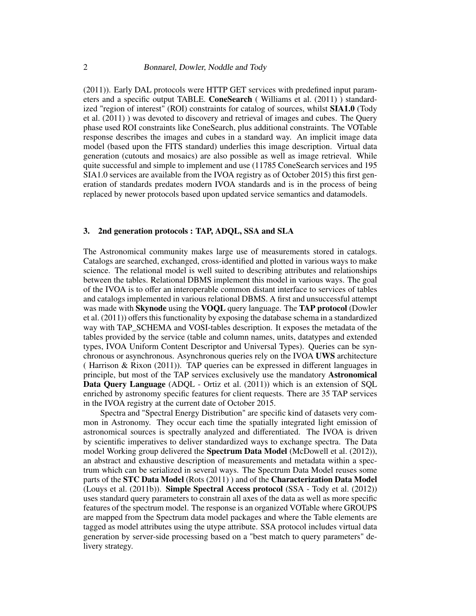[\(2011\)](#page-3-0)). Early DAL protocols were HTTP GET services with predefined input parameters and a specific output TABLE. ConeSearch ( [Williams et al.](#page-3-1) [\(2011\)](#page-3-1) ) standardized "region of interest" (ROI) constraints for catalog of sources, whilst SIA1.0 [\(Tody](#page-3-2) [et al.](#page-3-2) [\(2011\)](#page-3-2) ) was devoted to discovery and retrieval of images and cubes. The Query phase used ROI constraints like ConeSearch, plus additional constraints. The VOTable response describes the images and cubes in a standard way. An implicit image data model (based upon the FITS standard) underlies this image description. Virtual data generation (cutouts and mosaics) are also possible as well as image retrieval. While quite successful and simple to implement and use (11785 ConeSearch services and 195 SIA1.0 services are available from the IVOA registry as of October 2015) this first generation of standards predates modern IVOA standards and is in the process of being replaced by newer protocols based upon updated service semantics and datamodels.

# 3. 2nd generation protocols : TAP, ADQL, SSA and SLA

The Astronomical community makes large use of measurements stored in catalogs. Catalogs are searched, exchanged, cross-identified and plotted in various ways to make science. The relational model is well suited to describing attributes and relationships between the tables. Relational DBMS implement this model in various ways. The goal of the IVOA is to offer an interoperable common distant interface to services of tables and catalogs implemented in various relational DBMS. A first and unsuccessful attempt was made with Skynode using the VOQL query language. The TAP protocol [\(Dowler](#page-3-3) [et al.](#page-3-3) [\(2011\)](#page-3-3)) offers this functionality by exposing the database schema in a standardized way with TAP\_SCHEMA and VOSI-tables description. It exposes the metadata of the tables provided by the service (table and column names, units, datatypes and extended types, IVOA Uniform Content Descriptor and Universal Types). Queries can be synchronous or asynchronous. Asynchronous queries rely on the IVOA UWS architecture ( [Harrison & Rixon](#page-3-4) [\(2011\)](#page-3-4)). TAP queries can be expressed in different languages in principle, but most of the TAP services exclusively use the mandatory Astronomical Data Query Language (ADQL - [Ortiz et al.](#page-3-5) [\(2011\)](#page-3-5)) which is an extension of SQL enriched by astronomy specific features for client requests. There are 35 TAP services in the IVOA registry at the current date of October 2015.

Spectra and "Spectral Energy Distribution" are specific kind of datasets very common in Astronomy. They occur each time the spatially integrated light emission of astronomical sources is spectrally analyzed and differentiated. The IVOA is driven by scientific imperatives to deliver standardized ways to exchange spectra. The Data model Working group delivered the Spectrum Data Model [\(McDowell et al.](#page-3-6) [\(2012\)](#page-3-6)), an abstract and exhaustive description of measurements and metadata within a spectrum which can be serialized in several ways. The Spectrum Data Model reuses some parts of the STC Data Model [\(Rots](#page-3-7) [\(2011\)](#page-3-7) ) and of the Characterization Data Model [\(Louys et al.](#page-3-8) [\(2011b\)](#page-3-8)). Simple Spectral Access protocol (SSA - [Tody et al.](#page-3-9) [\(2012\)](#page-3-9)) uses standard query parameters to constrain all axes of the data as well as more specific features of the spectrum model. The response is an organized VOTable where GROUPS are mapped from the Spectrum data model packages and where the Table elements are tagged as model attributes using the utype attribute. SSA protocol includes virtual data generation by server-side processing based on a "best match to query parameters" delivery strategy.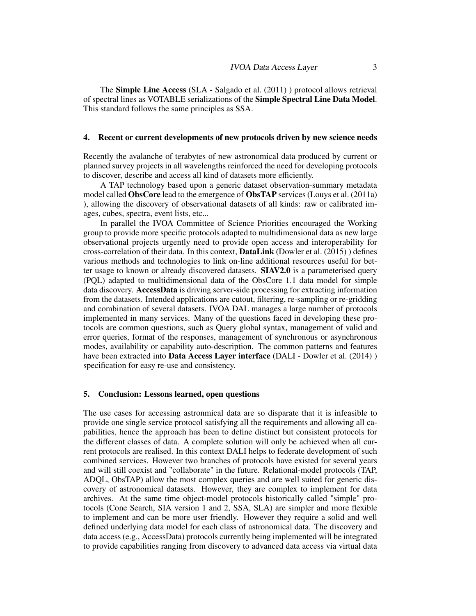The Simple Line Access (SLA - [Salgado et al.](#page-3-10) [\(2011\)](#page-3-10) ) protocol allows retrieval of spectral lines as VOTABLE serializations of the Simple Spectral Line Data Model. This standard follows the same principles as SSA.

# 4. Recent or current developments of new protocols driven by new science needs

Recently the avalanche of terabytes of new astronomical data produced by current or planned survey projects in all wavelengths reinforced the need for developing protocols to discover, describe and access all kind of datasets more efficiently.

A TAP technology based upon a generic dataset observation-summary metadata model called ObsCore lead to the emergence of ObsTAP services [\(Louys et al.](#page-3-11) [\(2011a\)](#page-3-11) ), allowing the discovery of observational datasets of all kinds: raw or calibrated images, cubes, spectra, event lists, etc...

In parallel the IVOA Committee of Science Priorities encouraged the Working group to provide more specific protocols adapted to multidimensional data as new large observational projects urgently need to provide open access and interoperability for cross-correlation of their data. In this context, DataLink [\(Dowler et al.](#page-3-12) [\(2015\)](#page-3-12) ) defines various methods and technologies to link on-line additional resources useful for better usage to known or already discovered datasets. SIAV2.0 is a parameterised query (PQL) adapted to multidimensional data of the ObsCore 1.1 data model for simple data discovery. AccessData is driving server-side processing for extracting information from the datasets. Intended applications are cutout, filtering, re-sampling or re-gridding and combination of several datasets. IVOA DAL manages a large number of protocols implemented in many services. Many of the questions faced in developing these protocols are common questions, such as Query global syntax, management of valid and error queries, format of the responses, management of synchronous or asynchronous modes, availability or capability auto-description. The common patterns and features have been extracted into **Data Access Layer interface** (DALI - [Dowler et al.](#page-3-13) [\(2014\)](#page-3-13) ) specification for easy re-use and consistency.

## 5. Conclusion: Lessons learned, open questions

The use cases for accessing astronmical data are so disparate that it is infeasible to provide one single service protocol satisfying all the requirements and allowing all capabilities, hence the approach has been to define distinct but consistent protocols for the different classes of data. A complete solution will only be achieved when all current protocols are realised. In this context DALI helps to federate development of such combined services. However two branches of protocols have existed for several years and will still coexist and "collaborate" in the future. Relational-model protocols (TAP, ADQL, ObsTAP) allow the most complex queries and are well suited for generic discovery of astronomical datasets. However, they are complex to implement for data archives. At the same time object-model protocols historically called "simple" protocols (Cone Search, SIA version 1 and 2, SSA, SLA) are simpler and more flexible to implement and can be more user friendly. However they require a solid and well defined underlying data model for each class of astronomical data. The discovery and data access (e.g., AccessData) protocols currently being implemented will be integrated to provide capabilities ranging from discovery to advanced data access via virtual data